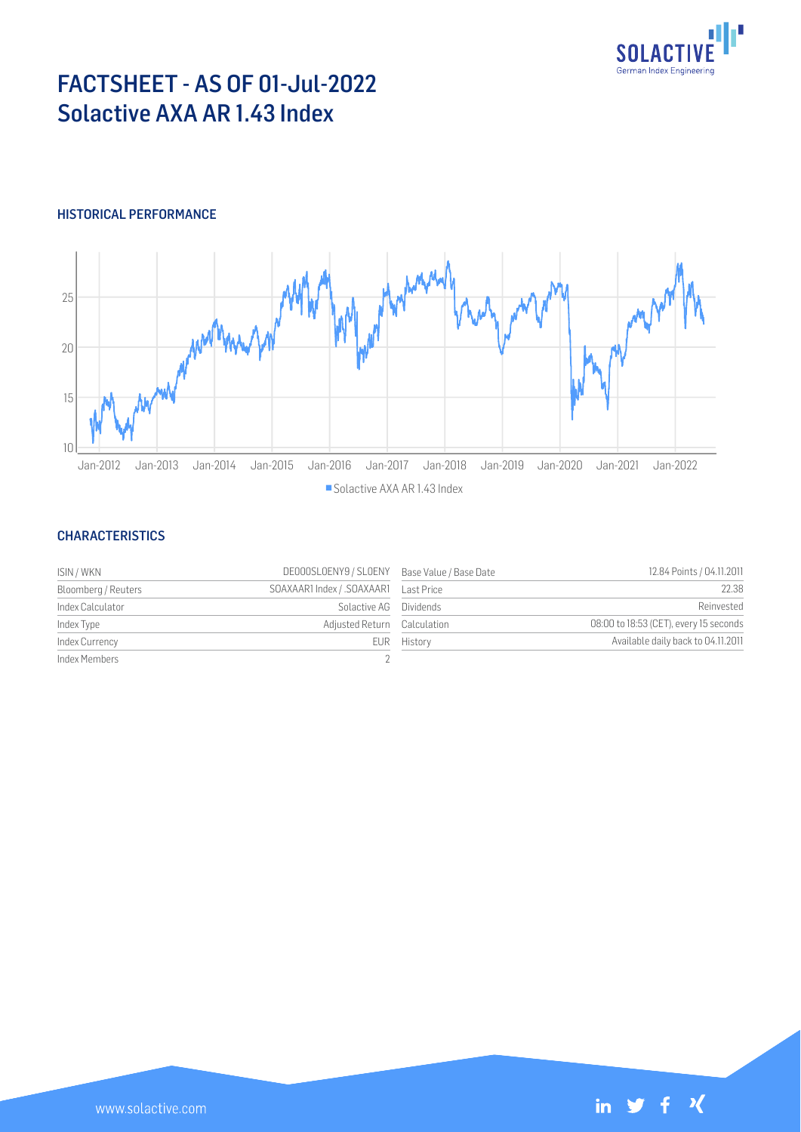

# FACTSHEET - AS OF 01-Jul-2022 Solactive AXA AR 1.43 Index

## HISTORICAL PERFORMANCE



#### **CHARACTERISTICS**

| ISIN / WKN          | DE000SLOENY9 / SLOENY Base Value / Base Date |             | 12.84 Points / 04.11.2011              |
|---------------------|----------------------------------------------|-------------|----------------------------------------|
| Bloomberg / Reuters |                                              |             | 22.38                                  |
| Index Calculator    | Solactive AG                                 | Dividends   | Reinvested                             |
| Index Type          | Adjusted Return Calculation                  |             | 08:00 to 18:53 (CET), every 15 seconds |
| Index Currency      |                                              | EUR History | Available daily back to 04.11.2011     |
| Index Members       |                                              |             |                                        |

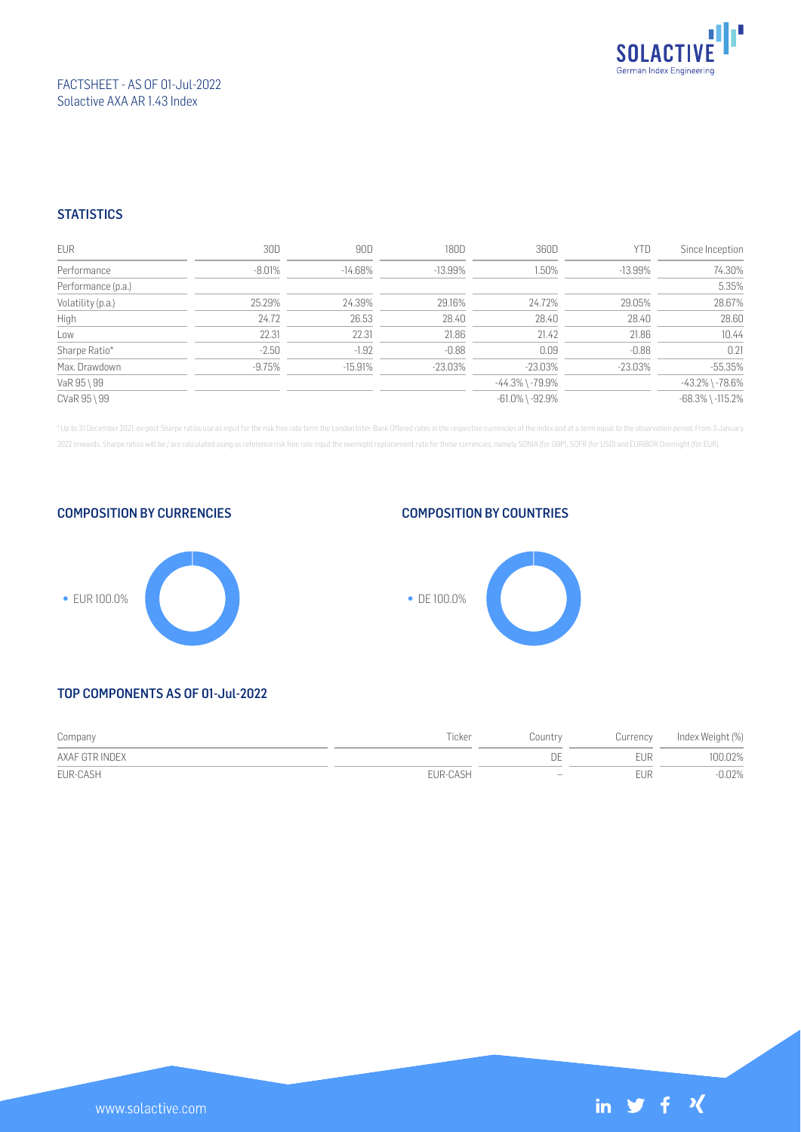

### FACTSHEET - AS OF 01-Jul-2022 Solactive AXA AR 1.43 Index

## **STATISTICS**

| EUR                | 30D      | 90D        | 180D      | 360D                  | <b>YTD</b> | Since Inception        |
|--------------------|----------|------------|-----------|-----------------------|------------|------------------------|
| Performance        | $-8.01%$ | $-14.68\%$ | $-13.99%$ | 1.50%                 | $-13.99\%$ | 74.30%                 |
| Performance (p.a.) |          |            |           |                       |            | 5.35%                  |
| Volatility (p.a.)  | 25.29%   | 24.39%     | 29.16%    | 24.72%                | 29.05%     | 28.67%                 |
| High               | 24.72    | 26.53      | 28.40     | 28.40                 | 28.40      | 28.60                  |
| Low                | 22.31    | 22.31      | 21.86     | 21.42                 | 21.86      | 10.44                  |
| Sharpe Ratio*      | $-2.50$  | $-1.92$    | $-0.88$   | 0.09                  | $-0.88$    | 0.21                   |
| Max. Drawdown      | $-9.75%$ | $-15.91%$  | $-23.03%$ | $-23.03%$             | $-23.03%$  | $-55.35%$              |
| VaR 95 \ 99        |          |            |           | $-44.3\%$ \ $-79.9\%$ |            | $-43.2\%$ \ $-78.6\%$  |
| CVaR 95 \ 99       |          |            |           | $-61.0\%$ \ $-92.9\%$ |            | $-68.3\%$ \ $-115.2\%$ |

\* Up to 31 December 2021, ex-post Sharpe ratios use as input for the risk free rate term the London Inter-Bank Offered rates in the respective currencies of the index and at a term equal to the observation period. From 3 J 2022 onwards, Sharpe ratios will be / are calculated using as reference risk free rate input the overnight replacement rate for these currencies, namely SONIA (for GBP), SOFR (for USD) and EURIBOR Overnight (for EUR).







## TOP COMPONENTS AS OF 01-Jul-2022

| Company        | Ticker   | Country                  | Currency   | Index Weight (%) |
|----------------|----------|--------------------------|------------|------------------|
| AXAF GTR INDEX |          | DE                       | <b>FUR</b> | 100.02%          |
| EUR-CASH       | EUR-CASH | $\overline{\phantom{0}}$ | EUR        | $-0.02%$         |